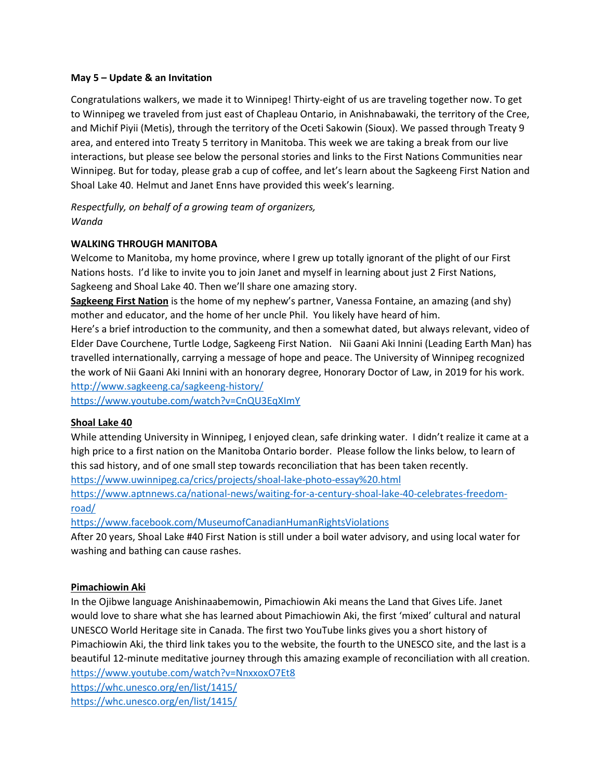### **May 5 – Update & an Invitation**

Congratulations walkers, we made it to Winnipeg! Thirty-eight of us are traveling together now. To get to Winnipeg we traveled from just east of Chapleau Ontario, in Anishnabawaki, the territory of the Cree, and Michif Piyii (Metis), through the territory of the Oceti Sakowin (Sioux). We passed through Treaty 9 area, and entered into Treaty 5 territory in Manitoba. This week we are taking a break from our live interactions, but please see below the personal stories and links to the First Nations Communities near Winnipeg. But for today, please grab a cup of coffee, and let's learn about the Sagkeeng First Nation and Shoal Lake 40. Helmut and Janet Enns have provided this week's learning.

# *Respectfully, on behalf of a growing team of organizers, Wanda*

## **WALKING THROUGH MANITOBA**

Welcome to Manitoba, my home province, where I grew up totally ignorant of the plight of our First Nations hosts. I'd like to invite you to join Janet and myself in learning about just 2 First Nations, Sagkeeng and Shoal Lake 40. Then we'll share one amazing story.

**Sagkeeng First Nation** is the home of my nephew's partner, Vanessa Fontaine, an amazing (and shy) mother and educator, and the home of her uncle Phil. You likely have heard of him.

Here's a brief introduction to the community, and then a somewhat dated, but always relevant, video of Elder Dave Courchene, Turtle Lodge, Sagkeeng First Nation. Nii Gaani Aki Innini (Leading Earth Man) has travelled internationally, carrying a message of hope and peace. The University of Winnipeg recognized the work of Nii Gaani Aki Innini with an honorary degree, Honorary Doctor of Law, in 2019 for his work. [http://www.sagkeeng.ca/sagkeeng-history/](https://can01.safelinks.protection.outlook.com/?url=http%3A%2F%2Fwww.sagkeeng.ca%2Fsagkeeng-history%2F&data=04%7C01%7CKWilson%40united-church.ca%7C37ad89db66344761933d08d90fc36d5f%7Ccf18b5a826784011931215f0f7157574%7C0%7C0%7C637558154328001983%7CUnknown%7CTWFpbGZsb3d8eyJWIjoiMC4wLjAwMDAiLCJQIjoiV2luMzIiLCJBTiI6Ik1haWwiLCJXVCI6Mn0%3D%7C1000&sdata=PD8A%2FzOVd3Ukr9W8ctrAWbOrUlfmmQU0fwoXLDiwcFI%3D&reserved=0)

[https://www.youtube.com/watch?v=CnQU3EqXImY](https://can01.safelinks.protection.outlook.com/?url=https%3A%2F%2Fwww.youtube.com%2Fwatch%3Fv%3DCnQU3EqXImY&data=04%7C01%7CKWilson%40united-church.ca%7C37ad89db66344761933d08d90fc36d5f%7Ccf18b5a826784011931215f0f7157574%7C0%7C0%7C637558154328001983%7CUnknown%7CTWFpbGZsb3d8eyJWIjoiMC4wLjAwMDAiLCJQIjoiV2luMzIiLCJBTiI6Ik1haWwiLCJXVCI6Mn0%3D%7C1000&sdata=PvpUyov2xQhsIIKZKqWdzugMaSoJA87ah4LbjMssONA%3D&reserved=0)

## **Shoal Lake 40**

While attending University in Winnipeg, I enjoyed clean, safe drinking water. I didn't realize it came at a high price to a first nation on the Manitoba Ontario border. Please follow the links below, to learn of this sad history, and of one small step towards reconciliation that has been taken recently.

[https://www.uwinnipeg.ca/crics/projects/shoal-lake-photo-essay%20.html](https://can01.safelinks.protection.outlook.com/?url=https%3A%2F%2Fwww.uwinnipeg.ca%2Fcrics%2Fprojects%2Fshoal-lake-photo-essay%2520.html&data=04%7C01%7CKWilson%40united-church.ca%7C37ad89db66344761933d08d90fc36d5f%7Ccf18b5a826784011931215f0f7157574%7C0%7C0%7C637558154328011973%7CUnknown%7CTWFpbGZsb3d8eyJWIjoiMC4wLjAwMDAiLCJQIjoiV2luMzIiLCJBTiI6Ik1haWwiLCJXVCI6Mn0%3D%7C1000&sdata=3z90y%2BQqTa5zeGpep9K1XDGvgS3PpGGUOCOmzzhji%2F0%3D&reserved=0)

[https://www.aptnnews.ca/national-news/waiting-for-a-century-shoal-lake-40-celebrates-freedom](https://can01.safelinks.protection.outlook.com/?url=https%3A%2F%2Fwww.aptnnews.ca%2Fnational-news%2Fwaiting-for-a-century-shoal-lake-40-celebrates-freedom-road%2F&data=04%7C01%7CKWilson%40united-church.ca%7C37ad89db66344761933d08d90fc36d5f%7Ccf18b5a826784011931215f0f7157574%7C0%7C0%7C637558154328011973%7CUnknown%7CTWFpbGZsb3d8eyJWIjoiMC4wLjAwMDAiLCJQIjoiV2luMzIiLCJBTiI6Ik1haWwiLCJXVCI6Mn0%3D%7C1000&sdata=ltf6bdUkooYcAIytiKnMJjHTmKAldB5zwUC7F4jMiwo%3D&reserved=0)[road/](https://can01.safelinks.protection.outlook.com/?url=https%3A%2F%2Fwww.aptnnews.ca%2Fnational-news%2Fwaiting-for-a-century-shoal-lake-40-celebrates-freedom-road%2F&data=04%7C01%7CKWilson%40united-church.ca%7C37ad89db66344761933d08d90fc36d5f%7Ccf18b5a826784011931215f0f7157574%7C0%7C0%7C637558154328011973%7CUnknown%7CTWFpbGZsb3d8eyJWIjoiMC4wLjAwMDAiLCJQIjoiV2luMzIiLCJBTiI6Ik1haWwiLCJXVCI6Mn0%3D%7C1000&sdata=ltf6bdUkooYcAIytiKnMJjHTmKAldB5zwUC7F4jMiwo%3D&reserved=0)

[https://www.facebook.com/MuseumofCanadianHumanRightsViolations](https://can01.safelinks.protection.outlook.com/?url=https%3A%2F%2Fwww.facebook.com%2FMuseumofCanadianHumanRightsViolations&data=04%7C01%7CKWilson%40united-church.ca%7C37ad89db66344761933d08d90fc36d5f%7Ccf18b5a826784011931215f0f7157574%7C0%7C0%7C637558154328021964%7CUnknown%7CTWFpbGZsb3d8eyJWIjoiMC4wLjAwMDAiLCJQIjoiV2luMzIiLCJBTiI6Ik1haWwiLCJXVCI6Mn0%3D%7C1000&sdata=seJK%2Fz6bFGlht1d08%2BoyEn5mpv9pYtux0CQ4LMQQ4eI%3D&reserved=0)

After 20 years, Shoal Lake #40 First Nation is still under a boil water advisory, and using local water for washing and bathing can cause rashes.

## **Pimachiowin Aki**

In the Ojibwe language Anishinaabemowin, Pimachiowin Aki means the Land that Gives Life. Janet would love to share what she has learned about Pimachiowin Aki, the first 'mixed' cultural and natural UNESCO World Heritage site in Canada. The first two YouTube links gives you a short history of Pimachiowin Aki, the third link takes you to the website, the fourth to the UNESCO site, and the last is a beautiful 12-minute meditative journey through this amazing example of reconciliation with all creation. [https://www.youtube.com/watch?v=NnxxoxO7Et8](https://can01.safelinks.protection.outlook.com/?url=https%3A%2F%2Fwww.youtube.com%2Fwatch%3Fv%3DNnxxoxO7Et8&data=04%7C01%7CKWilson%40united-church.ca%7C37ad89db66344761933d08d90fc36d5f%7Ccf18b5a826784011931215f0f7157574%7C0%7C0%7C637558154328021964%7CUnknown%7CTWFpbGZsb3d8eyJWIjoiMC4wLjAwMDAiLCJQIjoiV2luMzIiLCJBTiI6Ik1haWwiLCJXVCI6Mn0%3D%7C1000&sdata=qoXBYUvKT5GJBlw2NttasWAU72y9M%2F6v1HQyuY2%2F2zY%3D&reserved=0) [https://whc.unesco.org/en/list/1415/](https://can01.safelinks.protection.outlook.com/?url=https%3A%2F%2Fwhc.unesco.org%2Fen%2Flist%2F1415%2F&data=04%7C01%7CKWilson%40united-church.ca%7C37ad89db66344761933d08d90fc36d5f%7Ccf18b5a826784011931215f0f7157574%7C0%7C0%7C637558154328031957%7CUnknown%7CTWFpbGZsb3d8eyJWIjoiMC4wLjAwMDAiLCJQIjoiV2luMzIiLCJBTiI6Ik1haWwiLCJXVCI6Mn0%3D%7C1000&sdata=OFAQcMmiWlNuFGZlZH2j3kFsz05x55H9hzWXuUmzBGM%3D&reserved=0)

[https://whc.unesco.org/en/list/1415/](https://can01.safelinks.protection.outlook.com/?url=https%3A%2F%2Fwhc.unesco.org%2Fen%2Flist%2F1415%2F&data=04%7C01%7CKWilson%40united-church.ca%7C37ad89db66344761933d08d90fc36d5f%7Ccf18b5a826784011931215f0f7157574%7C0%7C0%7C637558154328031957%7CUnknown%7CTWFpbGZsb3d8eyJWIjoiMC4wLjAwMDAiLCJQIjoiV2luMzIiLCJBTiI6Ik1haWwiLCJXVCI6Mn0%3D%7C1000&sdata=OFAQcMmiWlNuFGZlZH2j3kFsz05x55H9hzWXuUmzBGM%3D&reserved=0)